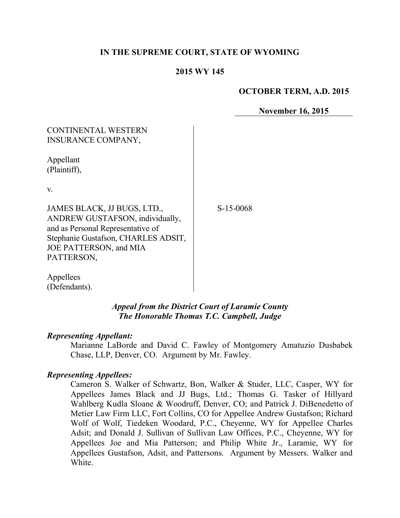## **IN THE SUPREME COURT, STATE OF WYOMING**

#### **2015 WY 145**

#### **OCTOBER TERM, A.D. 2015**

**November 16, 2015**

# CONTINENTAL WESTERN INSURANCE COMPANY,

Appellant (Plaintiff),

v.

JAMES BLACK, JJ BUGS, LTD., ANDREW GUSTAFSON, individually, and as Personal Representative of Stephanie Gustafson, CHARLES ADSIT, JOE PATTERSON, and MIA PATTERSON,

S-15-0068

Appellees (Defendants).

## *Appeal from the District Court of Laramie County The Honorable Thomas T.C. Campbell, Judge*

#### *Representing Appellant:*

Marianne LaBorde and David C. Fawley of Montgomery Amatuzio Dusbabek Chase, LLP, Denver, CO. Argument by Mr. Fawley.

#### *Representing Appellees:*

Cameron S. Walker of Schwartz, Bon, Walker & Studer, LLC, Casper, WY for Appellees James Black and JJ Bugs, Ltd.; Thomas G. Tasker of Hillyard Wahlberg Kudla Sloane & Woodruff, Denver, CO; and Patrick J. DiBenedetto of Metier Law Firm LLC, Fort Collins, CO for Appellee Andrew Gustafson; Richard Wolf of Wolf, Tiedeken Woodard, P.C., Cheyenne, WY for Appellee Charles Adsit; and Donald J. Sullivan of Sullivan Law Offices, P.C., Cheyenne, WY for Appellees Joe and Mia Patterson; and Philip White Jr., Laramie, WY for Appellees Gustafson, Adsit, and Pattersons. Argument by Messers. Walker and **White**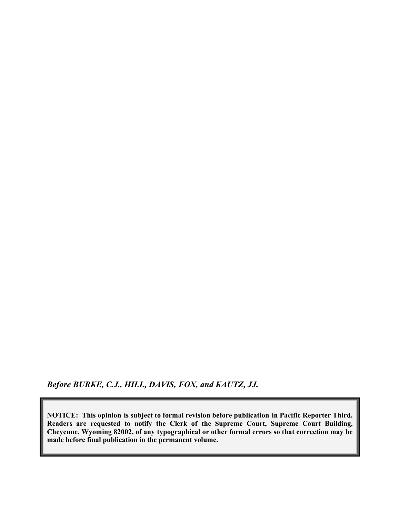*Before BURKE, C.J., HILL, DAVIS, FOX, and KAUTZ, JJ.*

**NOTICE: This opinion is subject to formal revision before publication in Pacific Reporter Third. Readers are requested to notify the Clerk of the Supreme Court, Supreme Court Building, Cheyenne, Wyoming 82002, of any typographical or other formal errors so that correction may be made before final publication in the permanent volume.**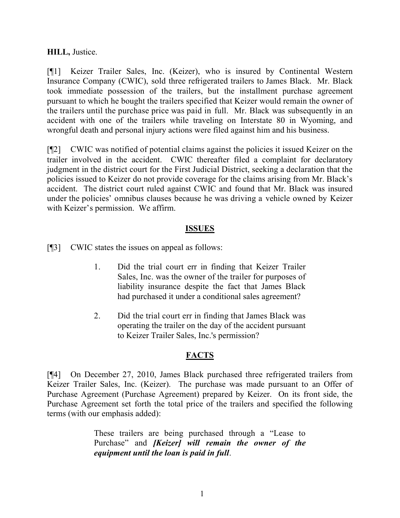## **HILL,** Justice.

[¶1] Keizer Trailer Sales, Inc. (Keizer), who is insured by Continental Western Insurance Company (CWIC), sold three refrigerated trailers to James Black. Mr. Black took immediate possession of the trailers, but the installment purchase agreement pursuant to which he bought the trailers specified that Keizer would remain the owner of the trailers until the purchase price was paid in full. Mr. Black was subsequently in an accident with one of the trailers while traveling on Interstate 80 in Wyoming, and wrongful death and personal injury actions were filed against him and his business.

[¶2] CWIC was notified of potential claims against the policies it issued Keizer on the trailer involved in the accident. CWIC thereafter filed a complaint for declaratory judgment in the district court for the First Judicial District, seeking a declaration that the policies issued to Keizer do not provide coverage for the claims arising from Mr. Black's accident. The district court ruled against CWIC and found that Mr. Black was insured under the policies' omnibus clauses because he was driving a vehicle owned by Keizer with Keizer's permission. We affirm.

#### **ISSUES**

[¶3] CWIC states the issues on appeal as follows:

- 1. Did the trial court err in finding that Keizer Trailer Sales, Inc. was the owner of the trailer for purposes of liability insurance despite the fact that James Black had purchased it under a conditional sales agreement?
- 2. Did the trial court err in finding that James Black was operating the trailer on the day of the accident pursuant to Keizer Trailer Sales, Inc.'s permission?

## **FACTS**

[¶4] On December 27, 2010, James Black purchased three refrigerated trailers from Keizer Trailer Sales, Inc. (Keizer). The purchase was made pursuant to an Offer of Purchase Agreement (Purchase Agreement) prepared by Keizer. On its front side, the Purchase Agreement set forth the total price of the trailers and specified the following terms (with our emphasis added):

> These trailers are being purchased through a "Lease to Purchase" and *[Keizer] will remain the owner of the equipment until the loan is paid in full*.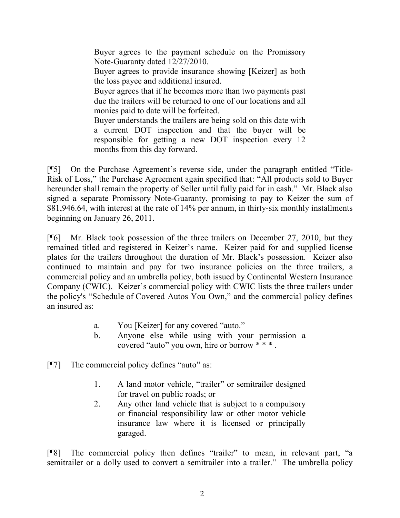Buyer agrees to the payment schedule on the Promissory Note-Guaranty dated 12/27/2010. Buyer agrees to provide insurance showing [Keizer] as both the loss payee and additional insured. Buyer agrees that if he becomes more than two payments past due the trailers will be returned to one of our locations and all monies paid to date will be forfeited. Buyer understands the trailers are being sold on this date with a current DOT inspection and that the buyer will be responsible for getting a new DOT inspection every 12 months from this day forward.

[¶5] On the Purchase Agreement's reverse side, under the paragraph entitled "Title-Risk of Loss," the Purchase Agreement again specified that: "All products sold to Buyer hereunder shall remain the property of Seller until fully paid for in cash." Mr. Black also signed a separate Promissory Note-Guaranty, promising to pay to Keizer the sum of \$81,946.64, with interest at the rate of 14% per annum, in thirty-six monthly installments beginning on January 26, 2011.

[¶6] Mr. Black took possession of the three trailers on December 27, 2010, but they remained titled and registered in Keizer's name. Keizer paid for and supplied license plates for the trailers throughout the duration of Mr. Black's possession. Keizer also continued to maintain and pay for two insurance policies on the three trailers, a commercial policy and an umbrella policy, both issued by Continental Western Insurance Company (CWIC). Keizer's commercial policy with CWIC lists the three trailers under the policy's "Schedule of Covered Autos You Own," and the commercial policy defines an insured as:

- a. You [Keizer] for any covered "auto."
- b. Anyone else while using with your permission a covered "auto" you own, hire or borrow \* \* \* .
- [¶7] The commercial policy defines "auto" as:
	- 1. A land motor vehicle, "trailer" or semitrailer designed for travel on public roads; or
	- 2. Any other land vehicle that is subject to a compulsory or financial responsibility law or other motor vehicle insurance law where it is licensed or principally garaged.

[¶8] The commercial policy then defines "trailer" to mean, in relevant part, "a semitrailer or a dolly used to convert a semitrailer into a trailer." The umbrella policy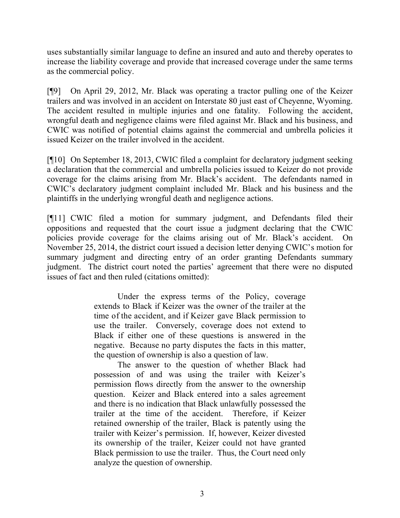uses substantially similar language to define an insured and auto and thereby operates to increase the liability coverage and provide that increased coverage under the same terms as the commercial policy.

[¶9] On April 29, 2012, Mr. Black was operating a tractor pulling one of the Keizer trailers and was involved in an accident on Interstate 80 just east of Cheyenne, Wyoming. The accident resulted in multiple injuries and one fatality. Following the accident, wrongful death and negligence claims were filed against Mr. Black and his business, and CWIC was notified of potential claims against the commercial and umbrella policies it issued Keizer on the trailer involved in the accident.

[¶10] On September 18, 2013, CWIC filed a complaint for declaratory judgment seeking a declaration that the commercial and umbrella policies issued to Keizer do not provide coverage for the claims arising from Mr. Black's accident. The defendants named in CWIC's declaratory judgment complaint included Mr. Black and his business and the plaintiffs in the underlying wrongful death and negligence actions.

[¶11] CWIC filed a motion for summary judgment, and Defendants filed their oppositions and requested that the court issue a judgment declaring that the CWIC policies provide coverage for the claims arising out of Mr. Black's accident. On November 25, 2014, the district court issued a decision letter denying CWIC's motion for summary judgment and directing entry of an order granting Defendants summary judgment. The district court noted the parties' agreement that there were no disputed issues of fact and then ruled (citations omitted):

> Under the express terms of the Policy, coverage extends to Black if Keizer was the owner of the trailer at the time of the accident, and if Keizer gave Black permission to use the trailer. Conversely, coverage does not extend to Black if either one of these questions is answered in the negative. Because no party disputes the facts in this matter, the question of ownership is also a question of law.

> The answer to the question of whether Black had possession of and was using the trailer with Keizer's permission flows directly from the answer to the ownership question. Keizer and Black entered into a sales agreement and there is no indication that Black unlawfully possessed the trailer at the time of the accident. Therefore, if Keizer retained ownership of the trailer, Black is patently using the trailer with Keizer's permission. If, however, Keizer divested its ownership of the trailer, Keizer could not have granted Black permission to use the trailer. Thus, the Court need only analyze the question of ownership.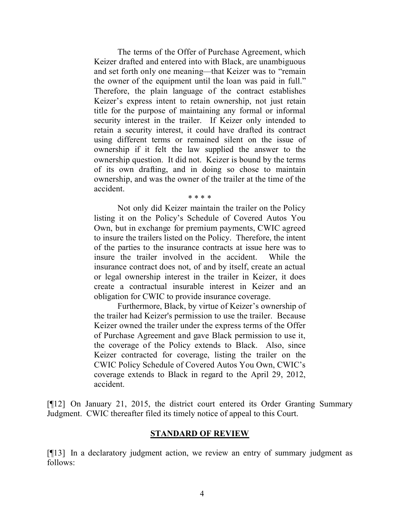The terms of the Offer of Purchase Agreement, which Keizer drafted and entered into with Black, are unambiguous and set forth only one meaning—that Keizer was to "remain the owner of the equipment until the loan was paid in full." Therefore, the plain language of the contract establishes Keizer's express intent to retain ownership, not just retain title for the purpose of maintaining any formal or informal security interest in the trailer. If Keizer only intended to retain a security interest, it could have drafted its contract using different terms or remained silent on the issue of ownership if it felt the law supplied the answer to the ownership question. It did not. Keizer is bound by the terms of its own drafting, and in doing so chose to maintain ownership, and was the owner of the trailer at the time of the accident.

\* \* \* \*

Not only did Keizer maintain the trailer on the Policy listing it on the Policy's Schedule of Covered Autos You Own, but in exchange for premium payments, CWIC agreed to insure the trailers listed on the Policy. Therefore, the intent of the parties to the insurance contracts at issue here was to insure the trailer involved in the accident. While the insurance contract does not, of and by itself, create an actual or legal ownership interest in the trailer in Keizer, it does create a contractual insurable interest in Keizer and an obligation for CWIC to provide insurance coverage.

Furthermore, Black, by virtue of Keizer's ownership of the trailer had Keizer's permission to use the trailer. Because Keizer owned the trailer under the express terms of the Offer of Purchase Agreement and gave Black permission to use it, the coverage of the Policy extends to Black. Also, since Keizer contracted for coverage, listing the trailer on the CWIC Policy Schedule of Covered Autos You Own, CWIC's coverage extends to Black in regard to the April 29, 2012, accident.

[¶12] On January 21, 2015, the district court entered its Order Granting Summary Judgment. CWIC thereafter filed its timely notice of appeal to this Court.

#### **STANDARD OF REVIEW**

[¶13] In a declaratory judgment action, we review an entry of summary judgment as follows: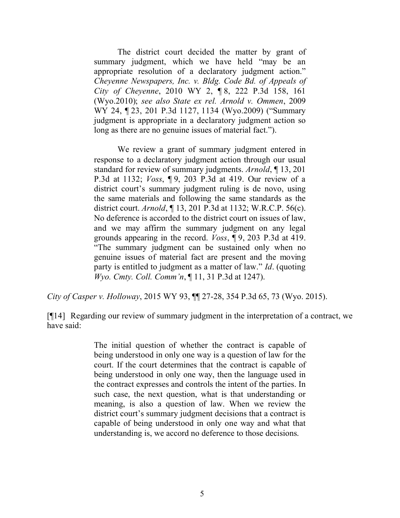The district court decided the matter by grant of summary judgment, which we have held "may be an appropriate resolution of a declaratory judgment action." *Cheyenne Newspapers, Inc. v. Bldg. Code Bd. of Appeals of City of Cheyenne*, 2010 WY 2, ¶ 8, 222 P.3d 158, 161 (Wyo.2010); *see also State ex rel. Arnold v. Ommen*, 2009 WY 24, ¶ 23, 201 P.3d 1127, 1134 (Wyo.2009) ("Summary judgment is appropriate in a declaratory judgment action so long as there are no genuine issues of material fact.").

We review a grant of summary judgment entered in response to a declaratory judgment action through our usual standard for review of summary judgments. *Arnold*, ¶ 13, 201 P.3d at 1132; *Voss*, ¶ 9, 203 P.3d at 419. Our review of a district court's summary judgment ruling is de novo, using the same materials and following the same standards as the district court. *Arnold*, ¶ 13, 201 P.3d at 1132; W.R.C.P. 56(c). No deference is accorded to the district court on issues of law, and we may affirm the summary judgment on any legal grounds appearing in the record. *Voss*, ¶ 9, 203 P.3d at 419. "The summary judgment can be sustained only when no genuine issues of material fact are present and the moving party is entitled to judgment as a matter of law." *Id*. (quoting *Wyo. Cmty. Coll. Comm'n*, ¶ 11, 31 P.3d at 1247).

*City of Casper v. Holloway*, 2015 WY 93, ¶¶ 27-28, 354 P.3d 65, 73 (Wyo. 2015).

[¶14] Regarding our review of summary judgment in the interpretation of a contract, we have said:

> The initial question of whether the contract is capable of being understood in only one way is a question of law for the court. If the court determines that the contract is capable of being understood in only one way, then the language used in the contract expresses and controls the intent of the parties. In such case, the next question, what is that understanding or meaning, is also a question of law. When we review the district court's summary judgment decisions that a contract is capable of being understood in only one way and what that understanding is, we accord no deference to those decisions.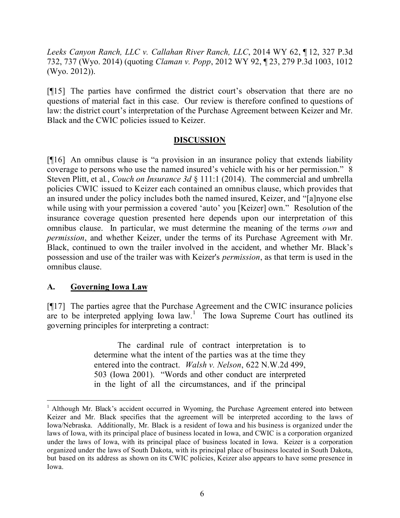*Leeks Canyon Ranch, LLC v. Callahan River Ranch, LLC*, 2014 WY 62, ¶ 12, 327 P.3d 732, 737 (Wyo. 2014) (quoting *Claman v. Popp*, 2012 WY 92, ¶ 23, 279 P.3d 1003, 1012 (Wyo. 2012)).

[¶15] The parties have confirmed the district court's observation that there are no questions of material fact in this case. Our review is therefore confined to questions of law: the district court's interpretation of the Purchase Agreement between Keizer and Mr. Black and the CWIC policies issued to Keizer.

## **DISCUSSION**

[¶16] An omnibus clause is "a provision in an insurance policy that extends liability coverage to persons who use the named insured's vehicle with his or her permission." 8 Steven Plitt, et al*.*, *Couch on Insurance 3d* § 111:1 (2014). The commercial and umbrella policies CWIC issued to Keizer each contained an omnibus clause, which provides that an insured under the policy includes both the named insured, Keizer, and "[a]nyone else while using with your permission a covered 'auto' you [Keizer] own." Resolution of the insurance coverage question presented here depends upon our interpretation of this omnibus clause. In particular, we must determine the meaning of the terms *own* and *permission*, and whether Keizer, under the terms of its Purchase Agreement with Mr. Black, continued to own the trailer involved in the accident, and whether Mr. Black's possession and use of the trailer was with Keizer's *permission*, as that term is used in the omnibus clause.

## **A. Governing Iowa Law**

[¶17] The parties agree that the Purchase Agreement and the CWIC insurance policies are to be interpreted applying Iowa  $law$ .<sup>1</sup> The Iowa Supreme Court has outlined its governing principles for interpreting a contract:

> The cardinal rule of contract interpretation is to determine what the intent of the parties was at the time they entered into the contract. *Walsh v. Nelson*, 622 N.W.2d 499, 503 (Iowa 2001). "Words and other conduct are interpreted in the light of all the circumstances, and if the principal

<sup>&</sup>lt;sup>1</sup> Although Mr. Black's accident occurred in Wyoming, the Purchase Agreement entered into between Keizer and Mr. Black specifies that the agreement will be interpreted according to the laws of Iowa/Nebraska. Additionally, Mr. Black is a resident of Iowa and his business is organized under the laws of Iowa, with its principal place of business located in Iowa, and CWIC is a corporation organized under the laws of Iowa, with its principal place of business located in Iowa. Keizer is a corporation organized under the laws of South Dakota, with its principal place of business located in South Dakota, but based on its address as shown on its CWIC policies, Keizer also appears to have some presence in Iowa.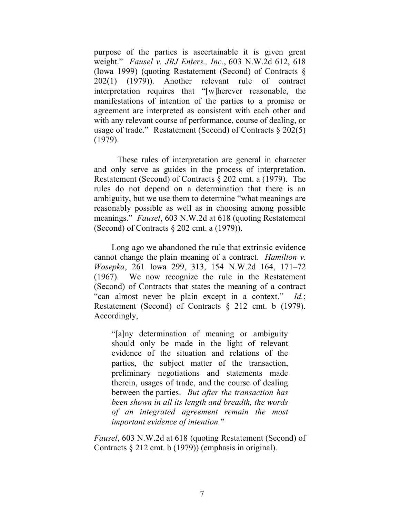purpose of the parties is ascertainable it is given great weight." *Fausel v. JRJ Enters., Inc.*, 603 N.W.2d 612, 618 (Iowa 1999) (quoting Restatement (Second) of Contracts § 202(1) (1979)). Another relevant rule of contract interpretation requires that "[w]herever reasonable, the manifestations of intention of the parties to a promise or agreement are interpreted as consistent with each other and with any relevant course of performance, course of dealing, or usage of trade." Restatement (Second) of Contracts § 202(5) (1979).

These rules of interpretation are general in character and only serve as guides in the process of interpretation. Restatement (Second) of Contracts § 202 cmt. a (1979). The rules do not depend on a determination that there is an ambiguity, but we use them to determine "what meanings are reasonably possible as well as in choosing among possible meanings." *Fausel*, 603 N.W.2d at 618 (quoting Restatement (Second) of Contracts § 202 cmt. a (1979)).

Long ago we abandoned the rule that extrinsic evidence cannot change the plain meaning of a contract. *Hamilton v. Wosepka*, 261 Iowa 299, 313, 154 N.W.2d 164, 171–72 (1967). We now recognize the rule in the Restatement (Second) of Contracts that states the meaning of a contract "can almost never be plain except in a context." *Id.*; Restatement (Second) of Contracts § 212 cmt. b (1979). Accordingly,

"[a]ny determination of meaning or ambiguity should only be made in the light of relevant evidence of the situation and relations of the parties, the subject matter of the transaction, preliminary negotiations and statements made therein, usages of trade, and the course of dealing between the parties. *But after the transaction has been shown in all its length and breadth, the words of an integrated agreement remain the most important evidence of intention.*"

*Fausel*, 603 N.W.2d at 618 (quoting Restatement (Second) of Contracts § 212 cmt. b (1979)) (emphasis in original).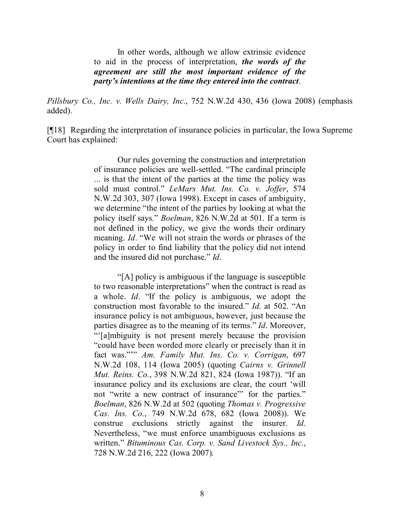In other words, although we allow extrinsic evidence to aid in the process of interpretation, *the words of the agreement are still the most important evidence of the party's intentions at the time they entered into the contract*.

*Pillsbury Co., Inc. v. Wells Dairy, Inc.*, 752 N.W.2d 430, 436 (Iowa 2008) (emphasis added).

[¶18] Regarding the interpretation of insurance policies in particular, the Iowa Supreme Court has explained:

> Our rules governing the construction and interpretation of insurance policies are well-settled. "The cardinal principle ... is that the intent of the parties at the time the policy was sold must control." *LeMars Mut. Ins. Co. v. Joffer*, 574 N.W.2d 303, 307 (Iowa 1998). Except in cases of ambiguity, we determine "the intent of the parties by looking at what the policy itself says." *Boelman*, 826 N.W.2d at 501. If a term is not defined in the policy, we give the words their ordinary meaning. *Id*. "We will not strain the words or phrases of the policy in order to find liability that the policy did not intend and the insured did not purchase." *Id*.

> "[A] policy is ambiguous if the language is susceptible to two reasonable interpretations" when the contract is read as a whole. *Id*. "If the policy is ambiguous, we adopt the construction most favorable to the insured." *Id*. at 502. "An insurance policy is not ambiguous, however, just because the parties disagree as to the meaning of its terms." *Id*. Moreover, "'[a]mbiguity is not present merely because the provision "could have been worded more clearly or precisely than it in fact was."'" *Am. Family Mut. Ins. Co. v. Corrigan*, 697 N.W.2d 108, 114 (Iowa 2005) (quoting *Cairns v. Grinnell Mut. Reins. Co.*, 398 N.W.2d 821, 824 (Iowa 1987)). "If an insurance policy and its exclusions are clear, the court 'will not "write a new contract of insurance"' for the parties." *Boelman*, 826 N.W.2d at 502 (quoting *Thomas v. Progressive Cas. Ins. Co.*, 749 N.W.2d 678, 682 (Iowa 2008)). We construe exclusions strictly against the insurer. *Id*. Nevertheless, "we must enforce unambiguous exclusions as written." *Bituminous Cas. Corp. v. Sand Livestock Sys., Inc.*, 728 N.W.2d 216, 222 (Iowa 2007).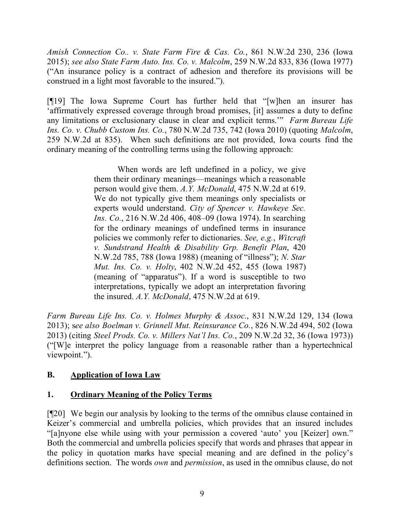*Amish Connection Co.. v. State Farm Fire & Cas. Co.*, 861 N.W.2d 230, 236 (Iowa 2015); *see also State Farm Auto. Ins. Co. v. Malcolm*, 259 N.W.2d 833, 836 (Iowa 1977) ("An insurance policy is a contract of adhesion and therefore its provisions will be construed in a light most favorable to the insured.").

[¶19] The Iowa Supreme Court has further held that "[w]hen an insurer has 'affirmatively expressed coverage through broad promises, [it] assumes a duty to define any limitations or exclusionary clause in clear and explicit terms.'" *Farm Bureau Life Ins. Co. v. Chubb Custom Ins. Co.*, 780 N.W.2d 735, 742 (Iowa 2010) (quoting *Malcolm*, 259 N.W.2d at 835). When such definitions are not provided, Iowa courts find the ordinary meaning of the controlling terms using the following approach:

> When words are left undefined in a policy, we give them their ordinary meanings—meanings which a reasonable person would give them. *A.Y. McDonald*, 475 N.W.2d at 619. We do not typically give them meanings only specialists or experts would understand. *City of Spencer v. Hawkeye Sec. Ins. Co.*, 216 N.W.2d 406, 408–09 (Iowa 1974). In searching for the ordinary meanings of undefined terms in insurance policies we commonly refer to dictionaries. *See, e.g.*, *Witcraft v. Sundstrand Health & Disability Grp. Benefit Plan*, 420 N.W.2d 785, 788 (Iowa 1988) (meaning of "illness"); *N. Star Mut. Ins. Co. v. Holty*, 402 N.W.2d 452, 455 (Iowa 1987) (meaning of "apparatus"). If a word is susceptible to two interpretations, typically we adopt an interpretation favoring the insured. *A.Y. McDonald*, 475 N.W.2d at 619.

*Farm Bureau Life Ins. Co. v. Holmes Murphy & Assoc.*, 831 N.W.2d 129, 134 (Iowa 2013); s*ee also Boelman v. Grinnell Mut. Reinsurance Co.*, 826 N.W.2d 494, 502 (Iowa 2013) (citing *Steel Prods. Co. v. Millers Nat'l Ins. Co.*, 209 N.W.2d 32, 36 (Iowa 1973)) ("[W]e interpret the policy language from a reasonable rather than a hypertechnical viewpoint.").

# **B. Application of Iowa Law**

# **1. Ordinary Meaning of the Policy Terms**

[¶20] We begin our analysis by looking to the terms of the omnibus clause contained in Keizer's commercial and umbrella policies, which provides that an insured includes "[a]nyone else while using with your permission a covered 'auto' you [Keizer] own." Both the commercial and umbrella policies specify that words and phrases that appear in the policy in quotation marks have special meaning and are defined in the policy's definitions section. The words *own* and *permission*, as used in the omnibus clause, do not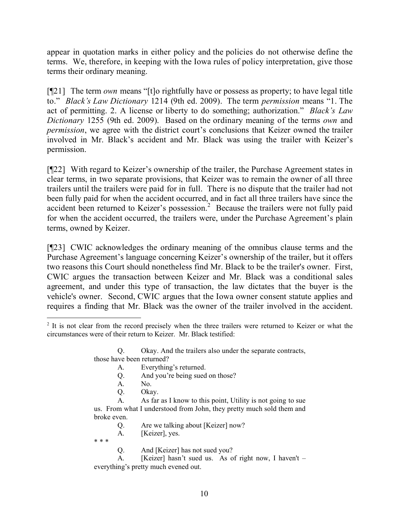appear in quotation marks in either policy and the policies do not otherwise define the terms. We, therefore, in keeping with the Iowa rules of policy interpretation, give those terms their ordinary meaning.

[¶21] The term *own* means "[t]o rightfully have or possess as property; to have legal title to." *Black's Law Dictionary* 1214 (9th ed. 2009). The term *permission* means "1. The act of permitting. 2. A license or liberty to do something; authorization." *Black's Law Dictionary* 1255 (9th ed. 2009). Based on the ordinary meaning of the terms *own* and *permission*, we agree with the district court's conclusions that Keizer owned the trailer involved in Mr. Black's accident and Mr. Black was using the trailer with Keizer's permission.

[¶22] With regard to Keizer's ownership of the trailer, the Purchase Agreement states in clear terms, in two separate provisions, that Keizer was to remain the owner of all three trailers until the trailers were paid for in full. There is no dispute that the trailer had not been fully paid for when the accident occurred, and in fact all three trailers have since the accident been returned to Keizer's possession.<sup>2</sup> Because the trailers were not fully paid for when the accident occurred, the trailers were, under the Purchase Agreement's plain terms, owned by Keizer.

[¶23] CWIC acknowledges the ordinary meaning of the omnibus clause terms and the Purchase Agreement's language concerning Keizer's ownership of the trailer, but it offers two reasons this Court should nonetheless find Mr. Black to be the trailer's owner. First, CWIC argues the transaction between Keizer and Mr. Black was a conditional sales agreement, and under this type of transaction, the law dictates that the buyer is the vehicle's owner. Second, CWIC argues that the Iowa owner consent statute applies and requires a finding that Mr. Black was the owner of the trailer involved in the accident.

Q. Are we talking about [Keizer] now?

A. [Keizer], yes.

\* \* \*

Q. And [Keizer] has not sued you?

A. [Keizer] hasn't sued us. As of right now, I haven't – everything's pretty much evened out.

 <sup>2</sup> It is not clear from the record precisely when the three trailers were returned to Keizer or what the circumstances were of their return to Keizer. Mr. Black testified:

Q. Okay. And the trailers also under the separate contracts, those have been returned?

A. Everything's returned.

Q. And you're being sued on those?

A. No.

Q. Okay.

A. As far as I know to this point, Utility is not going to sue us. From what I understood from John, they pretty much sold them and broke even.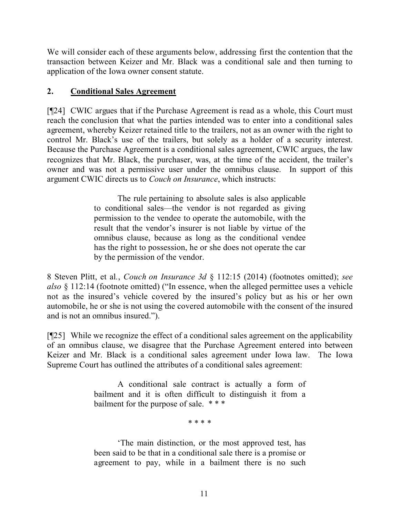We will consider each of these arguments below, addressing first the contention that the transaction between Keizer and Mr. Black was a conditional sale and then turning to application of the Iowa owner consent statute.

# **2. Conditional Sales Agreement**

[¶24] CWIC argues that if the Purchase Agreement is read as a whole, this Court must reach the conclusion that what the parties intended was to enter into a conditional sales agreement, whereby Keizer retained title to the trailers, not as an owner with the right to control Mr. Black's use of the trailers, but solely as a holder of a security interest. Because the Purchase Agreement is a conditional sales agreement, CWIC argues, the law recognizes that Mr. Black, the purchaser, was, at the time of the accident, the trailer's owner and was not a permissive user under the omnibus clause. In support of this argument CWIC directs us to *Couch on Insurance*, which instructs:

> The rule pertaining to absolute sales is also applicable to conditional sales—the vendor is not regarded as giving permission to the vendee to operate the automobile, with the result that the vendor's insurer is not liable by virtue of the omnibus clause, because as long as the conditional vendee has the right to possession, he or she does not operate the car by the permission of the vendor.

8 Steven Plitt, et al*.*, *Couch on Insurance 3d* § 112:15 (2014) (footnotes omitted); *see also* § 112:14 (footnote omitted) ("In essence, when the alleged permittee uses a vehicle not as the insured's vehicle covered by the insured's policy but as his or her own automobile, he or she is not using the covered automobile with the consent of the insured and is not an omnibus insured.").

[¶25] While we recognize the effect of a conditional sales agreement on the applicability of an omnibus clause, we disagree that the Purchase Agreement entered into between Keizer and Mr. Black is a conditional sales agreement under Iowa law. The Iowa Supreme Court has outlined the attributes of a conditional sales agreement:

> A conditional sale contract is actually a form of bailment and it is often difficult to distinguish it from a bailment for the purpose of sale. \*\*\*

> > \* \* \* \*

'The main distinction, or the most approved test, has been said to be that in a conditional sale there is a promise or agreement to pay, while in a bailment there is no such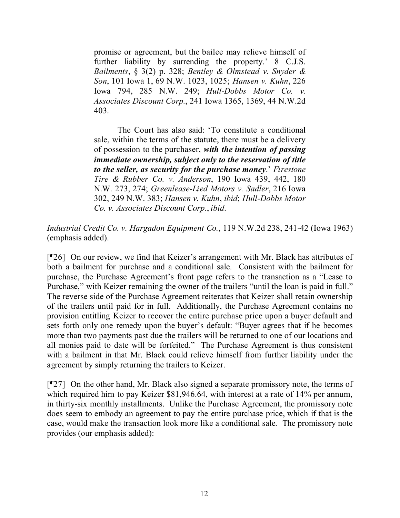promise or agreement, but the bailee may relieve himself of further liability by surrending the property.' 8 C.J.S. *Bailments*, § 3(2) p. 328; *Bentley & Olmstead v. Snyder & Son*, 101 Iowa 1, 69 N.W. 1023, 1025; *Hansen v. Kuhn*, 226 Iowa 794, 285 N.W. 249; *Hull-Dobbs Motor Co. v. Associates Discount Corp.*, 241 Iowa 1365, 1369, 44 N.W.2d 403.

The Court has also said: 'To constitute a conditional sale, within the terms of the statute, there must be a delivery of possession to the purchaser, *with the intention of passing immediate ownership, subject only to the reservation of title to the seller, as security for the purchase money*.' *Firestone Tire & Rubber Co. v. Anderson*, 190 Iowa 439, 442, 180 N.W. 273, 274; *Greenlease-Lied Motors v. Sadler*, 216 Iowa 302, 249 N.W. 383; *Hansen v. Kuhn*, *ibid*; *Hull-Dobbs Motor Co. v. Associates Discount Corp.*, *ibid*.

*Industrial Credit Co. v. Hargadon Equipment Co.*, 119 N.W.2d 238, 241-42 (Iowa 1963) (emphasis added).

[¶26] On our review, we find that Keizer's arrangement with Mr. Black has attributes of both a bailment for purchase and a conditional sale. Consistent with the bailment for purchase, the Purchase Agreement's front page refers to the transaction as a "Lease to Purchase," with Keizer remaining the owner of the trailers "until the loan is paid in full." The reverse side of the Purchase Agreement reiterates that Keizer shall retain ownership of the trailers until paid for in full. Additionally, the Purchase Agreement contains no provision entitling Keizer to recover the entire purchase price upon a buyer default and sets forth only one remedy upon the buyer's default: "Buyer agrees that if he becomes more than two payments past due the trailers will be returned to one of our locations and all monies paid to date will be forfeited." The Purchase Agreement is thus consistent with a bailment in that Mr. Black could relieve himself from further liability under the agreement by simply returning the trailers to Keizer.

[¶27] On the other hand, Mr. Black also signed a separate promissory note, the terms of which required him to pay Keizer \$81,946.64, with interest at a rate of 14% per annum, in thirty-six monthly installments. Unlike the Purchase Agreement, the promissory note does seem to embody an agreement to pay the entire purchase price, which if that is the case, would make the transaction look more like a conditional sale. The promissory note provides (our emphasis added):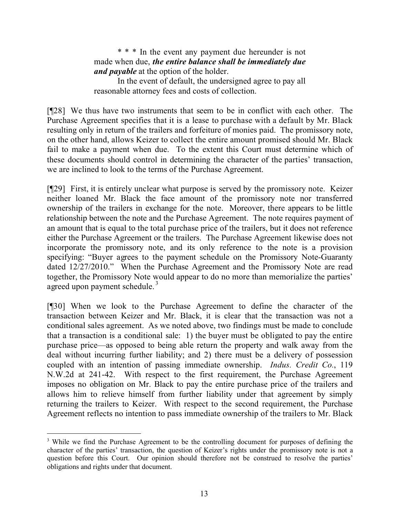\* \* \* In the event any payment due hereunder is not made when due, *the entire balance shall be immediately due and payable* at the option of the holder.

In the event of default, the undersigned agree to pay all reasonable attorney fees and costs of collection.

[¶28] We thus have two instruments that seem to be in conflict with each other. The Purchase Agreement specifies that it is a lease to purchase with a default by Mr. Black resulting only in return of the trailers and forfeiture of monies paid. The promissory note, on the other hand, allows Keizer to collect the entire amount promised should Mr. Black fail to make a payment when due. To the extent this Court must determine which of these documents should control in determining the character of the parties' transaction, we are inclined to look to the terms of the Purchase Agreement.

[¶29] First, it is entirely unclear what purpose is served by the promissory note. Keizer neither loaned Mr. Black the face amount of the promissory note nor transferred ownership of the trailers in exchange for the note. Moreover, there appears to be little relationship between the note and the Purchase Agreement. The note requires payment of an amount that is equal to the total purchase price of the trailers, but it does not reference either the Purchase Agreement or the trailers. The Purchase Agreement likewise does not incorporate the promissory note, and its only reference to the note is a provision specifying: "Buyer agrees to the payment schedule on the Promissory Note-Guaranty dated 12/27/2010." When the Purchase Agreement and the Promissory Note are read together, the Promissory Note would appear to do no more than memorialize the parties' agreed upon payment schedule.<sup>3</sup>

[¶30] When we look to the Purchase Agreement to define the character of the transaction between Keizer and Mr. Black, it is clear that the transaction was not a conditional sales agreement. As we noted above, two findings must be made to conclude that a transaction is a conditional sale: 1) the buyer must be obligated to pay the entire purchase price—as opposed to being able return the property and walk away from the deal without incurring further liability; and 2) there must be a delivery of possession coupled with an intention of passing immediate ownership. *Indus. Credit Co.*, 119 N.W.2d at 241-42. With respect to the first requirement, the Purchase Agreement imposes no obligation on Mr. Black to pay the entire purchase price of the trailers and allows him to relieve himself from further liability under that agreement by simply returning the trailers to Keizer. With respect to the second requirement, the Purchase Agreement reflects no intention to pass immediate ownership of the trailers to Mr. Black

 $\overline{a}$ 

<sup>&</sup>lt;sup>3</sup> While we find the Purchase Agreement to be the controlling document for purposes of defining the character of the parties' transaction, the question of Keizer's rights under the promissory note is not a question before this Court. Our opinion should therefore not be construed to resolve the parties' obligations and rights under that document.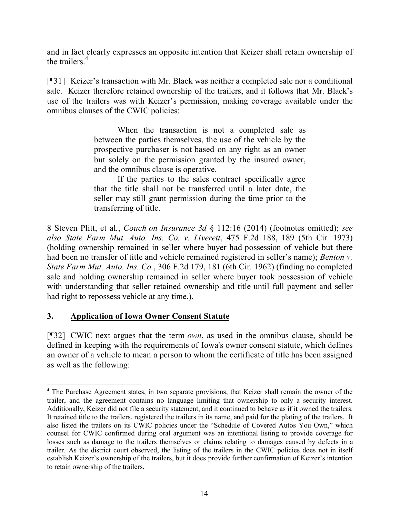and in fact clearly expresses an opposite intention that Keizer shall retain ownership of the trailers.<sup>4</sup>

[¶31] Keizer's transaction with Mr. Black was neither a completed sale nor a conditional sale. Keizer therefore retained ownership of the trailers, and it follows that Mr. Black's use of the trailers was with Keizer's permission, making coverage available under the omnibus clauses of the CWIC policies:

> When the transaction is not a completed sale as between the parties themselves, the use of the vehicle by the prospective purchaser is not based on any right as an owner but solely on the permission granted by the insured owner, and the omnibus clause is operative.

> If the parties to the sales contract specifically agree that the title shall not be transferred until a later date, the seller may still grant permission during the time prior to the transferring of title.

8 Steven Plitt, et al*.*, *Couch on Insurance 3d* § 112:16 (2014) (footnotes omitted); *see also State Farm Mut. Auto. Ins. Co. v. Liverett*, 475 F.2d 188, 189 (5th Cir. 1973) (holding ownership remained in seller where buyer had possession of vehicle but there had been no transfer of title and vehicle remained registered in seller's name); *Benton v. State Farm Mut. Auto. Ins. Co.*, 306 F.2d 179, 181 (6th Cir. 1962) (finding no completed sale and holding ownership remained in seller where buyer took possession of vehicle with understanding that seller retained ownership and title until full payment and seller had right to repossess vehicle at any time.).

# **3. Application of Iowa Owner Consent Statute**

[¶32] CWIC next argues that the term *own*, as used in the omnibus clause, should be defined in keeping with the requirements of Iowa's owner consent statute, which defines an owner of a vehicle to mean a person to whom the certificate of title has been assigned as well as the following:

<sup>&</sup>lt;sup>4</sup> The Purchase Agreement states, in two separate provisions, that Keizer shall remain the owner of the trailer, and the agreement contains no language limiting that ownership to only a security interest. Additionally, Keizer did not file a security statement, and it continued to behave as if it owned the trailers. It retained title to the trailers, registered the trailers in its name, and paid for the plating of the trailers. It also listed the trailers on its CWIC policies under the "Schedule of Covered Autos You Own," which counsel for CWIC confirmed during oral argument was an intentional listing to provide coverage for losses such as damage to the trailers themselves or claims relating to damages caused by defects in a trailer. As the district court observed, the listing of the trailers in the CWIC policies does not in itself establish Keizer's ownership of the trailers, but it does provide further confirmation of Keizer's intention to retain ownership of the trailers.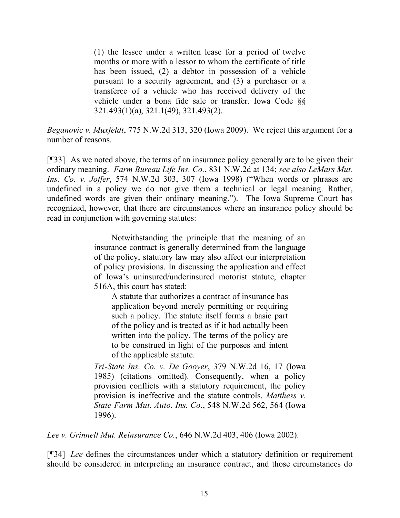(1) the lessee under a written lease for a period of twelve months or more with a lessor to whom the certificate of title has been issued, (2) a debtor in possession of a vehicle pursuant to a security agreement, and (3) a purchaser or a transferee of a vehicle who has received delivery of the vehicle under a bona fide sale or transfer. Iowa Code §§ 321.493(1)(a), 321.1(49), 321.493(2).

*Beganovic v. Muxfeldt*, 775 N.W.2d 313, 320 (Iowa 2009). We reject this argument for a number of reasons.

[¶33] As we noted above, the terms of an insurance policy generally are to be given their ordinary meaning. *Farm Bureau Life Ins. Co.*, 831 N.W.2d at 134; *see also LeMars Mut. Ins. Co. v. Joffer*, 574 N.W.2d 303, 307 (Iowa 1998) ("When words or phrases are undefined in a policy we do not give them a technical or legal meaning. Rather, undefined words are given their ordinary meaning."). The Iowa Supreme Court has recognized, however, that there are circumstances where an insurance policy should be read in conjunction with governing statutes:

> Notwithstanding the principle that the meaning of an insurance contract is generally determined from the language of the policy, statutory law may also affect our interpretation of policy provisions. In discussing the application and effect of Iowa's uninsured/underinsured motorist statute, chapter 516A, this court has stated:

A statute that authorizes a contract of insurance has application beyond merely permitting or requiring such a policy. The statute itself forms a basic part of the policy and is treated as if it had actually been written into the policy. The terms of the policy are to be construed in light of the purposes and intent of the applicable statute.

*Tri-State Ins. Co. v. De Gooyer*, 379 N.W.2d 16, 17 (Iowa 1985) (citations omitted). Consequently, when a policy provision conflicts with a statutory requirement, the policy provision is ineffective and the statute controls. *Matthess v. State Farm Mut. Auto. Ins. Co.*, 548 N.W.2d 562, 564 (Iowa 1996).

*Lee v. Grinnell Mut. Reinsurance Co.*, 646 N.W.2d 403, 406 (Iowa 2002).

[¶34] *Lee* defines the circumstances under which a statutory definition or requirement should be considered in interpreting an insurance contract, and those circumstances do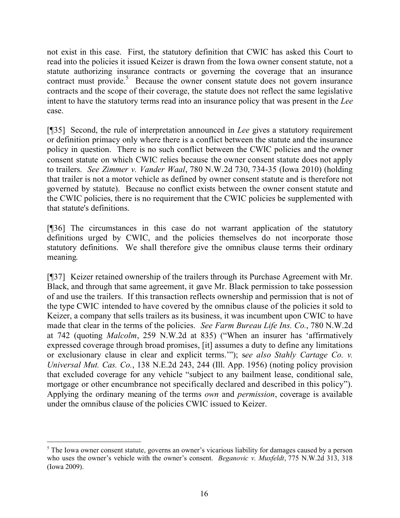not exist in this case. First, the statutory definition that CWIC has asked this Court to read into the policies it issued Keizer is drawn from the Iowa owner consent statute, not a statute authorizing insurance contracts or governing the coverage that an insurance contract must provide.<sup>5</sup> Because the owner consent statute does not govern insurance contracts and the scope of their coverage, the statute does not reflect the same legislative intent to have the statutory terms read into an insurance policy that was present in the *Lee* case.

[¶35] Second, the rule of interpretation announced in *Lee* gives a statutory requirement or definition primacy only where there is a conflict between the statute and the insurance policy in question. There is no such conflict between the CWIC policies and the owner consent statute on which CWIC relies because the owner consent statute does not apply to trailers. *See Zimmer v. Vander Waal*, 780 N.W.2d 730, 734-35 (Iowa 2010) (holding that trailer is not a motor vehicle as defined by owner consent statute and is therefore not governed by statute). Because no conflict exists between the owner consent statute and the CWIC policies, there is no requirement that the CWIC policies be supplemented with that statute's definitions.

[¶36] The circumstances in this case do not warrant application of the statutory definitions urged by CWIC, and the policies themselves do not incorporate those statutory definitions. We shall therefore give the omnibus clause terms their ordinary meaning.

[¶37] Keizer retained ownership of the trailers through its Purchase Agreement with Mr. Black, and through that same agreement, it gave Mr. Black permission to take possession of and use the trailers. If this transaction reflects ownership and permission that is not of the type CWIC intended to have covered by the omnibus clause of the policies it sold to Keizer, a company that sells trailers as its business, it was incumbent upon CWIC to have made that clear in the terms of the policies. *See Farm Bureau Life Ins. Co.*, 780 N.W.2d at 742 (quoting *Malcolm*, 259 N.W.2d at 835) ("When an insurer has 'affirmatively expressed coverage through broad promises, [it] assumes a duty to define any limitations or exclusionary clause in clear and explicit terms.'"); s*ee also Stahly Cartage Co. v. Universal Mut. Cas. Co.*, 138 N.E.2d 243, 244 (Ill. App. 1956) (noting policy provision that excluded coverage for any vehicle "subject to any bailment lease, conditional sale, mortgage or other encumbrance not specifically declared and described in this policy"). Applying the ordinary meaning of the terms *own* and *permission*, coverage is available under the omnibus clause of the policies CWIC issued to Keizer.

<sup>&</sup>lt;sup>5</sup> The Iowa owner consent statute, governs an owner's vicarious liability for damages caused by a person who uses the owner's vehicle with the owner's consent. *Beganovic v. Muxfeldt*, 775 N.W.2d 313, 318 (Iowa 2009).